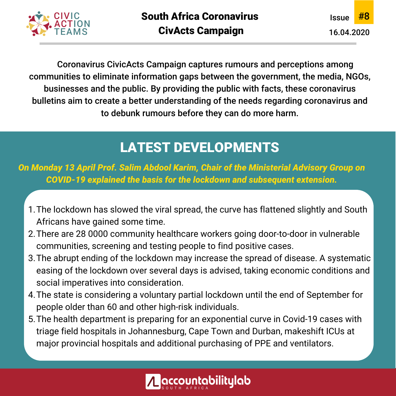

Coronavirus CivicActs Campaign captures rumours and perceptions among communities to eliminate information gaps between the government, the media, NGOs, businesses and the public. By providing the public with facts, these coronavirus bulletins aim to create a better understanding of the needs regarding coronavirus and to debunk rumours before they can do more harm.

# LATEST DEVELOPMENTS

*On Monday 13 April Prof. Salim Abdool Karim, Chair of the Ministerial Advisory Group on COVID-19 explained the basis for the lockdown and subsequent extension.*

- The lockdown has slowed the viral spread, the curve has flattened slightly and South 1. Africans have gained some time.
- There are 28 0000 community healthcare workers going door-to-door in vulnerable 2. communities, screening and testing people to find positive cases.
- The abrupt ending of the lockdown may increase the spread of disease. A systematic 3. easing of the lockdown over several days is advised, taking economic conditions and social imperatives into consideration.
- The state is considering a voluntary partial lockdown until the end of September for 4. people older than 60 and other high-risk individuals.
- 5. The health department is preparing for an exponential curve in Covid-19 cases with triage field hospitals in Johannesburg, Cape Town and Durban, makeshift ICUs at major provincial hospitals and additional purchasing of PPE and ventilators.

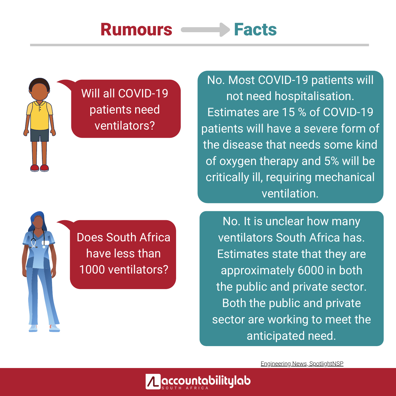# Rumours **Facts**



# Will all COVID-19 patients need ventilators?

No. Most COVID-19 patients will not need hospitalisation. Estimates are 15 % of COVID-19 patients will have a severe form of the disease that needs some kind of oxygen therapy and 5% will be critically ill, requiring mechanical ventilation.

 $\begin{bmatrix} 0 & 0 \\ 0 & 0 \end{bmatrix}$  $\begin{bmatrix} 1 & 0 & 0 \\ 0 & 1 & 0 \\ 0 & 0 & 0 \end{bmatrix}$  $l$ less than  $l$ Does South Africa have less than 1000 ventilators?

1000

No. It is unclear how many ventilators South Africa has. Estimates state that they are approximately 6000 in both the public and private sector. Both the public and private sector are working to meet the anticipated need.

Engineering News, SpotlightNSP

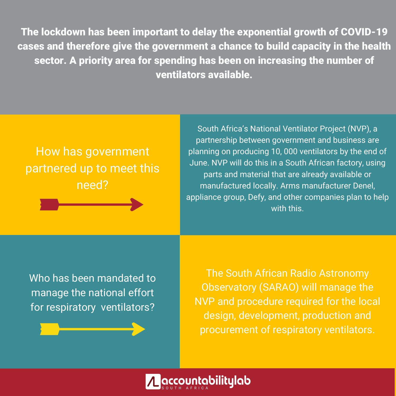The lockdown has been important to delay the exponential growth of COVID-19 cases and therefore give the government a chance to build capacity in the health sector. A priority area for spending has been on increasing the number of ventilators available.

## How has government partnered up to meet this need?

South Africa's National Ventilator Project (NVP), a partnership between government and business are planning on producing 10, 000 ventilators by the end of June. NVP will do this in a South African factory, using parts and material that are already available or manufactured locally. Arms manufacturer Denel, appliance group, Defy, and other companies plan to help with this.

Who has been mandated to manage the national effort for respiratory ventilators?

The South African Radio Astronomy Observatory (SARAO) will manage the NVP and procedure required for the local design, development, production and procurement of respiratory ventilators.

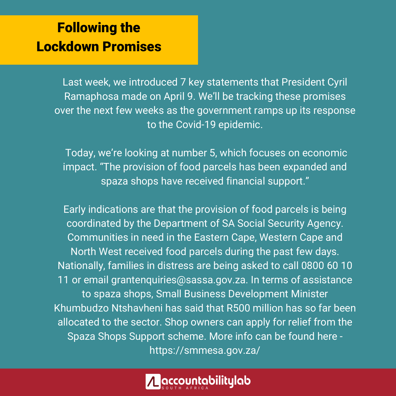# Following the Lockdown Promises

Last week, we introduced 7 key statements that President Cyril Ramaphosa made on April 9. We'll be tracking these promises over the next few weeks as the government ramps up its response to the Covid-19 epidemic.

Today, we're looking at number 5, which focuses on economic impact. "The provision of food parcels has been expanded and spaza shops have received financial support."

Early indications are that the provision of food parcels is being coordinated by the Department of SA Social Security Agency. Communities in need in the Eastern Cape, Western Cape and North West received food parcels during the past few days. Nationally, families in distress are being asked to call 0800 60 10 11 or email grantenquiries@sassa.gov.za. In terms of assistance to spaza shops, Small Business Development Minister Khumbudzo Ntshavheni has said that R500 million has so far been allocated to the sector. Shop owners can apply for relief from the Spaza Shops Support scheme. More info can be found here https://smmesa.gov.za/

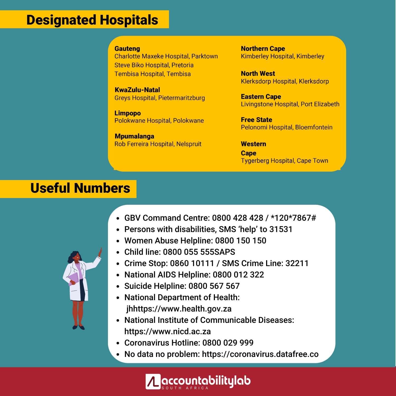### Designated Hospitals

#### **Gauteng**

**Charlotte Maxeke Hospital, Parktown Steve Biko Hospital, Pretoria** Tembisa Hospital, Tembisa

**KwaZulu-Natal Greys Hospital, Pietermaritzburg** 

**Limpopo** Polokwane Hospital, Polokwane

**Mpumalanga** Rob Ferreira Hospital, Nelspruit **Northern Cape Kimberley Hospital, Kimberley** 

**North West Klerksdorp Hospital, Klerksdorp** 

**Eastern Cape** Livingstone Hospital, Port Elizabeth

**Free State** Pelonomi Hospital, Bloemfontein

**Western Cape Tygerberg Hospital, Cape Town** 

### Useful Numbers

- GBV Command Centre: 0800 428 428 / \*120\*7867#
- Persons with disabilities, SMS 'help' to 31531
- Women Abuse Helpline: 0800 150 150
- Child line: 0800 055 555SAPS
- Crime Stop: 0860 10111 / SMS Crime Line: 32211
- National AIDS Helpline: 0800 012 322
- Suicide Helpline: 0800 567 567
- National Department of Health: jhhttps://www.health.gov.za
- National Institute of Communicable Diseases: https://www.nicd.ac.za
- Coronavirus Hotline: 0800 029 999
- No data no problem: https://coronavirus.datafree.co